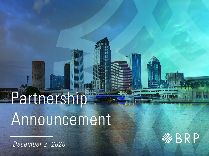# Partners no Announcement

December 2, 2020

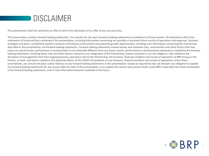

This presentation shall not constitute an offer to sell or the solicitation of an offer to buy any securities.

This presentation contains forward-looking statements. You should not rely upon forward-looking statements as predictions of future events. All statements other than statements of historical facts contained in this presentation, including information concerning our possible or assumed future results of operations and expenses, business strategies and plans, competitive position, business and industry environment and potential growth opportunities, including such information concerning the Partnership described in this presentation, are forward-looking statements. Forward-looking statements involve known and unknown risks, uncertainties and other factors that may cause our actual results, performance or achievements to be materially different from any future results, performance or achievements expressed or implied by the forwardlooking statements, including those risks and other factors relevant to our integration of this Partnership, matters assessed in our due diligence, risks related to the disruption of management time from ongoing business operations due to this Partnership, the business, financial condition and results of operations of BRP Group or this Partner, or both, and factors related to the potential effects of the COVID-19 pandemic on our business, financial condition and results of operations. Given these uncertainties, you should not place undue reliance on any forward-looking statements in this presentation. Except as required by law, we disclaim any obligation to update any forward-looking statements for any reason after the date of this presentation, or to update the reasons why actual results could differ materially from those anticipated in the forward-looking statements, even if new information becomes available in the future.

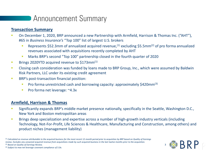# **Announcement Summary**

#### **Transaction Summary**

- On December 1, 2020, BRP announced a new Partnership with Armfield, Harrison & Thomas Inc. ("AHT"), #65 in *Business Insurance's* "Top 100" list of largest U.S. brokers
	- Represents \$52.3mm of annualized acquired revenue,<sup>(1)</sup> excluding \$5.5mm<sup>(2)</sup> of pro forma annualized revenues associated with acquisitions recently completed by AHT
	- Marks BRP's second "Top 100" partnership closed in the fourth quarter of 2020
- **EXECUTE:** Brings 2020YTD acquired revenue to \$173mm<sup>(1)</sup>
- **EXPLOS** Closing cash consideration was funded by loans made to BRP Group, Inc., which were assumed by Baldwin Risk Partners, LLC under its existing credit agreement
- **EXECT:** BRP's post-transaction financial position:
	- Pro forma unrestricted cash and borrowing capacity: approximately  $$420mm^{(3)}$
	- Pro forma net leverage: ~4.3x

#### **Armfield, Harrison & Thomas**

(3) *Subject to max net leverage covenant compliance of 5.0x.* 

- Significantly expands BRP's middle market presence nationally, specifically in the Seattle, Washington D.C., New York and Boston metropolitan areas
- **EXP** Brings deep specialization and expertise across a number of high-growth industry verticals (including Technology, Not-For-Profit, Life Sciences & Healthcare, Manufacturing and Construction, among others) and product niches (management liability)

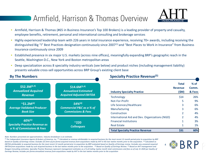# Armfield, Harrison & Thomas Overview



- **EXTM** Armfield, Harrison & Thomas (#65 in Business Insurance's Top 100 Brokers) is a leading provider of property and casualty, employee benefits, retirement, personal and international consulting and brokerage services
- Highly experienced leadership team with 226 years in total insurance experience, receiving 70+ awards, including receiving the distinguished Big "I" Best Practices designation continuously since 2007(1) and "Best Places to Work in Insurance" from Business Insurance continuously since 2009
- Established presence in six major U.S. markets (across nine offices), meaningfully expanding BRP's geographic reach in the Seattle, Washington D.C., New York and Boston metropolitan areas
- Deep specialization across 8 speciality industry verticals (see below) and product niches (including management liability) presents valuable cross-sell opportunities across BRP Group's existing client base



*Note: Numbers presented are approximations. Industry breakdown is an estimate.*

<sup>(1)</sup> Per Independent Insurance Agents & Brokers of America, Inc. <sup>(2)</sup> Calculated as revenue attributable to acquired business for the most recent 12-month period prior to acquisition by BRP based on Quality of Earnings review. Excludes \$5.5mm of pro forma acquired revenue from acquisitions made by AHT in the last twelve months prior to the acquisition. <sup>(3)</sup> Calculated as EBITDA attributable to acquired business for the most recent 12-month period prior to acquisition by BRP evaluated based on Quality of Earnings review. Excludes any unowned acquired *EBITDA from acquisitions made by such acquired business in the last twelve months prior to the acquisition. (4) Based on Quality of Earnings Review. (5) Based on AHT management and*  Reagan Consulting estimates; Specialty Practice Revenues represent management estimates as a % of trailing twelve month total commissions and fees as of July 31 2020 per Quality of *Earnings Review; includes pro forma annualized revenue from acquisitions made by AHT in the last twelve months prior to the acquisition*

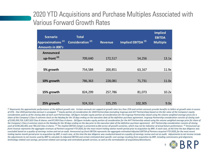### 2020 YTD Acquisitions and Purchase Multiples Associated with **Various Forward Growth Rates**

| <b>Scenario</b><br>Approximations <sup>(1)</sup><br><b>Amounts in 000's</b> | <b>Total</b><br>Consideration <sup>(2)</sup> | <b>Revenue</b> | Implied EBITDA <sup>(3)</sup> | <b>Implied</b><br><b>EBITDA</b><br><b>Multiple</b> |
|-----------------------------------------------------------------------------|----------------------------------------------|----------------|-------------------------------|----------------------------------------------------|
| Announced                                                                   |                                              |                |                               |                                                    |
| up-front <sup>(4)</sup>                                                     | 709,640                                      | 172,517        | 54,256                        | 13.1x                                              |
|                                                                             |                                              |                |                               |                                                    |
| 5% growth                                                                   | 754,584                                      | 200,851        | 63,167                        | 11.9x                                              |
|                                                                             |                                              |                |                               |                                                    |
| 10% growth                                                                  | 786,363                                      | 228,081        | 71,731                        | 11.0x                                              |
|                                                                             |                                              |                |                               |                                                    |
| 15% growth                                                                  | 824,299                                      | 257,786        | 81,073                        | 10.2x                                              |
|                                                                             |                                              |                |                               |                                                    |
| 25% growth                                                                  | 924,316                                      | 325,295        | 102,305                       | 9.0x                                               |

 $^{(1)}$  Represents the approximate performance at the defined growth rate. Certain earnouts are capped at growth rates less than 25% and certain earnouts provide benefits to Sellers at growth rates in excess of 25%. One 2020 partnership earnout is uncapped. <sup>(2)</sup> Equity portion of consideration for 2020 Partnerships (excluding Insgroup and AHT Partnerships) based on the fair value of the Company's equity *consideration paid as of the closing date of each such Partnerships. Q4 figure includes equity portion of consideration for the Insgroup Partnership valued using the volume weighted average prices for a share of the Company's Class A common stock on the Nasdaq for the 10 days ending on the execution date of the definitive purchase agreement. Insgroup Partnership consideration consists of closing cash*  of \$100,359,724; 3,857,622 Class B shares; and 87,093 Class A shares. Q4 figure includes equity portion of consideration for the AHT Partnership valued using the volume weighted average price for share of the Company's Class A common stock on the Nasdaq for the 30 days ending on the day prior to the execution date of the definitive purchase agreement. AHT Partnership consideration consists of closing cash of \$190,282,405; and 784,222 Class A shares. <sup>(3)</sup> The implied EBITDA margin is presented as flat across all growth scenarios, which may not be indicative of actual future performance. <sup>(4)</sup> Announced upfront revenue represents the aggregate revenues of Partners acquired YTD 2020, for the most recent trailing twelve month period prior to acquisition by BRP, in each case, at the time the due diligence was concluded based on a quality of earnings review and not an audit. Announced up-front EBITDA represents the aggregate estimated Adjusted EBITDA of Partners acquired YTD 2020, for the most recent *trailing twelve month period prior to acquisition by BRP, in each case, at the time the due diligence was conducted based on a quality of earnings review and not an audit. Adjustments to net income include the adjustments to net income used by BRP to calculate its Adjusted EBITDA and certain estimated deal-specific cost-savings resulting from acquisition by BRP, including commissions grid alignment, technology-related cost savings, personnel-related cost savings and centralized growth services, as well as the normalization of acquisitions/divestitures.*

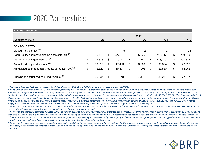## 2020 Partnerships

| 2020 Partnerships                                            |      |                |    |                |    |                |    |                |    |            |
|--------------------------------------------------------------|------|----------------|----|----------------|----|----------------|----|----------------|----|------------|
|                                                              | 2020 |                |    |                |    |                |    |                |    |            |
| Amounts in 000's                                             |      | Q <sub>1</sub> |    | Q <sub>2</sub> |    | Q <sub>3</sub> |    | Q <sub>4</sub> |    | <b>YTD</b> |
| <b>CONSOLIDATED</b>                                          |      |                |    |                |    |                |    |                |    |            |
| Closed Partnerships <sup>(1)</sup>                           | 4    |                |    | 5              |    | $\overline{2}$ |    | $2^{(1)}$      |    | 13         |
| Cash/Equity aggregate closing consideration <sup>(2)</sup>   | \$   | 56,449         | \$ | 227,418        | \$ | 6,826          | \$ | 418,947        | \$ | 709,640    |
| Maximum contingent earnout (3)                               | \$   | 16,828         | \$ | 110,701        | \$ | 7,240          | \$ | 173,110        | \$ | 307,879    |
| Annualized acquired revenue (4)                              |      | 30,612         | \$ | 47,403         | \$ | 3,668          | \$ | 90,834         | \$ | 172,517    |
| Annualized estimated acquired adjusted EBITDA <sup>(5)</sup> |      | 5,123          | \$ | 19,477         | \$ | 806            | \$ | 28,850         | \$ | 54,256     |
| Phasing of annualized acquired revenue (6)                   |      | 66,637         | \$ | 37,248         | \$ | 33,391         | \$ | 35,241         | \$ | 172,517    |

*(1) Inclusive of Insgroup Partnership announced 11/5/20; closed on 11/30/20 and AHT Partnership announced and closed 12/1/20*

*(2) Equity portion of consideration for 2020 Partnerships (excluding Insgroup and AHT Partnerships) based on the fair value of the Company's equity consideration paid as of the closing date of each such*  Partnerships. Q4 figure includes equity portion of consideration for the Insgroup Partnership valued using the volume weighted average prices for a share of the Company's Class A common stock on the Nasdaq for the 10 days ending on the execution date of the definitive purchase agreement. Insgroup Partnership consideration consists of closing cash of \$100,359,724; 3,857,622 Class B shares; and 87,093 *Class A shares. Q4 figure includes equity portion of consideration for the AHT Partnership valued using the volume weighted average price for share of the Company's Class A common stock on the Nasdaq for the 30 days ending on the day prior to the execution date of the definitive purchase agreement. AHT Partnership consideration consists of closing cash of \$190,282,405; and 784,222 Class A shares. (3) Q2 figure is inclusive of one uncapped earnout, which has been calculated assuming the Partner grows revenue 50% per year for three consecutive years.*

*(4) Represents the aggregate revenues of Partners acquired during the relevant quarter presented, for the most recent trailing twelve-month period prior to acquisition by the Company, in each case, at the time the due diligence was concluded based on a quality of earnings review and not an audit.*

<sup>(5)</sup> Represents the aggregate estimated Adjusted EBITDA of Partners acquired during the relevant quarter presented, for the most recent trailing twelve-month period prior to acquisition by the Company, in each case, at the time the due diligence was conducted based on a quality of earnings review and not an audit. Adjustments to net income include the adjustments to net income used by the Company to *calculate its Adjusted EBITDA and certain estimated deal-specific cost-savings resulting from acquisition by the Company, including commissions grid alignment, technology-related cost savings, personnelrelated cost savings and centralized growth services, as well as the normalization of acquisitions/divestitures.*

(6) Represents the aggregate revenues on a quarterly basis under ASC 606 of Partners acquired during the relevant year for the most recent trailing twelve-month period prior to acquisition by the Company, *in each case, at the time the due diligence was concluded based on a quality of earnings review and not an audit. Q4 amounts represent 2019 activity of acquired Partners and are not projections of 2020 performance.*

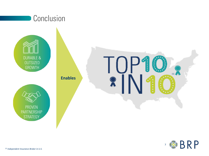